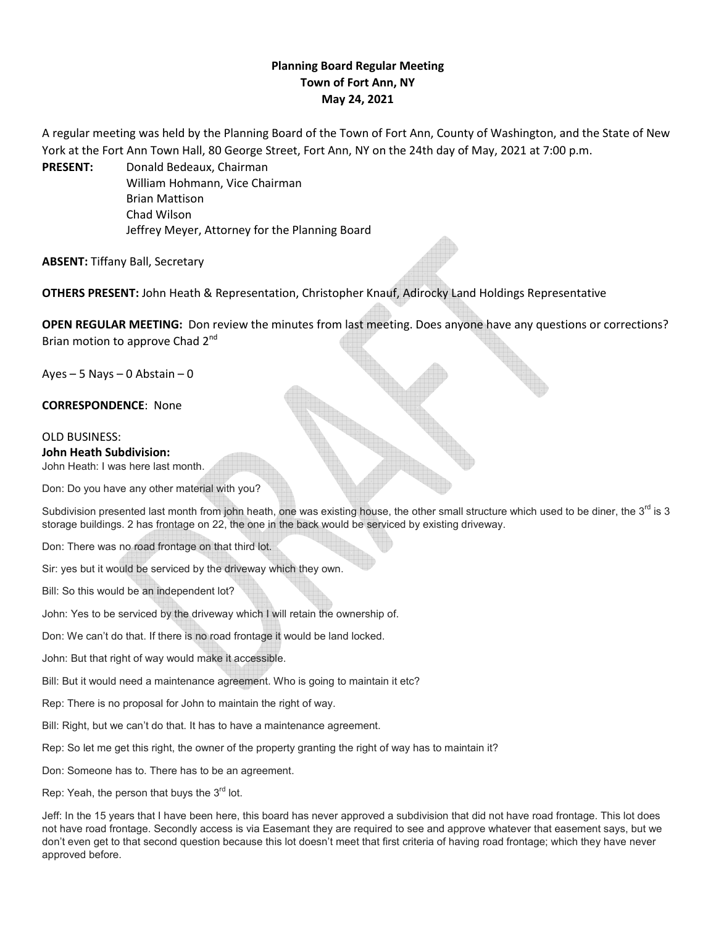# **Planning Board Regular Meeting Town of Fort Ann, NY May 24, 2021**

A regular meeting was held by the Planning Board of the Town of Fort Ann, County of Washington, and the State of New York at the Fort Ann Town Hall, 80 George Street, Fort Ann, NY on the 24th day of May, 2021 at 7:00 p.m.

**PRESENT:** Donald Bedeaux, Chairman William Hohmann, Vice Chairman Brian Mattison Chad Wilson Jeffrey Meyer, Attorney for the Planning Board

**ABSENT:** Tiffany Ball, Secretary

**OTHERS PRESENT:** John Heath & Representation, Christopher Knauf, Adirocky Land Holdings Representative

**OPEN REGULAR MEETING:** Don review the minutes from last meeting. Does anyone have any questions or corrections? Brian motion to approve Chad 2<sup>nd</sup>

 $Ayes - 5$  Nays – 0 Abstain – 0

**CORRESPONDENCE**: None

## OLD BUSINESS:

#### **John Heath Subdivision:**

John Heath: I was here last month.

Don: Do you have any other material with you?

Subdivision presented last month from john heath, one was existing house, the other small structure which used to be diner, the  $3<sup>rd</sup>$  is 3 storage buildings. 2 has frontage on 22, the one in the back would be serviced by existing driveway.

Don: There was no road frontage on that third lot.

Sir: yes but it would be serviced by the driveway which they own.

Bill: So this would be an independent lot?

John: Yes to be serviced by the driveway which I will retain the ownership of.

Don: We can't do that. If there is no road frontage it would be land locked.

John: But that right of way would make it accessible.

Bill: But it would need a maintenance agreement. Who is going to maintain it etc?

Rep: There is no proposal for John to maintain the right of way.

Bill: Right, but we can't do that. It has to have a maintenance agreement.

Rep: So let me get this right, the owner of the property granting the right of way has to maintain it?

Don: Someone has to. There has to be an agreement.

Rep: Yeah, the person that buys the  $3<sup>rd</sup>$  lot.

Jeff: In the 15 years that I have been here, this board has never approved a subdivision that did not have road frontage. This lot does not have road frontage. Secondly access is via Easemant they are required to see and approve whatever that easement says, but we don't even get to that second question because this lot doesn't meet that first criteria of having road frontage; which they have never approved before.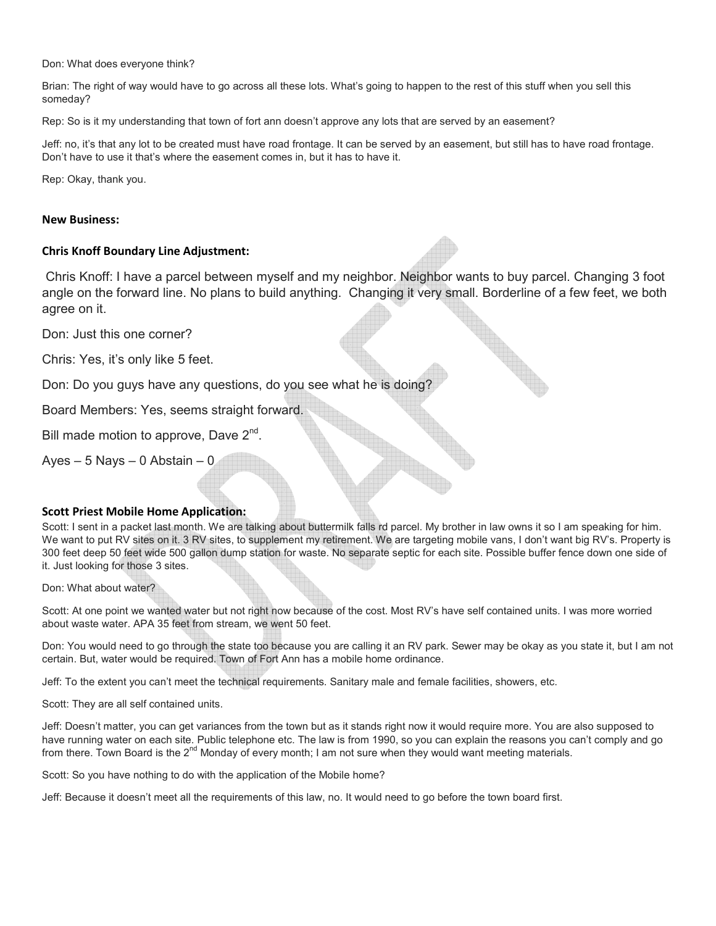Don: What does everyone think?

Brian: The right of way would have to go across all these lots. What's going to happen to the rest of this stuff when you sell this someday?

Rep: So is it my understanding that town of fort ann doesn't approve any lots that are served by an easement?

Jeff: no, it's that any lot to be created must have road frontage. It can be served by an easement, but still has to have road frontage. Don't have to use it that's where the easement comes in, but it has to have it.

Rep: Okay, thank you.

#### **New Business:**

## **Chris Knoff Boundary Line Adjustment:**

 Chris Knoff: I have a parcel between myself and my neighbor. Neighbor wants to buy parcel. Changing 3 foot angle on the forward line. No plans to build anything. Changing it very small. Borderline of a few feet, we both agree on it.

Don: Just this one corner?

Chris: Yes, it's only like 5 feet.

Don: Do you guys have any questions, do you see what he is doing?

Board Members: Yes, seems straight forward.

Bill made motion to approve, Dave 2<sup>nd</sup>.

Ayes  $-5$  Nays  $-0$  Abstain  $-0$ 

#### **Scott Priest Mobile Home Application:**

Scott: I sent in a packet last month. We are talking about buttermilk falls rd parcel. My brother in law owns it so I am speaking for him. We want to put RV sites on it. 3 RV sites, to supplement my retirement. We are targeting mobile vans, I don't want big RV's. Property is 300 feet deep 50 feet wide 500 gallon dump station for waste. No separate septic for each site. Possible buffer fence down one side of it. Just looking for those 3 sites.

Don: What about water?

Scott: At one point we wanted water but not right now because of the cost. Most RV's have self contained units. I was more worried about waste water. APA 35 feet from stream, we went 50 feet.

Don: You would need to go through the state too because you are calling it an RV park. Sewer may be okay as you state it, but I am not certain. But, water would be required. Town of Fort Ann has a mobile home ordinance.

Jeff: To the extent you can't meet the technical requirements. Sanitary male and female facilities, showers, etc.

Scott: They are all self contained units.

Jeff: Doesn't matter, you can get variances from the town but as it stands right now it would require more. You are also supposed to have running water on each site. Public telephone etc. The law is from 1990, so you can explain the reasons you can't comply and go from there. Town Board is the  $2^{nd}$  Monday of every month; I am not sure when they would want meeting materials.

Scott: So you have nothing to do with the application of the Mobile home?

Jeff: Because it doesn't meet all the requirements of this law, no. It would need to go before the town board first.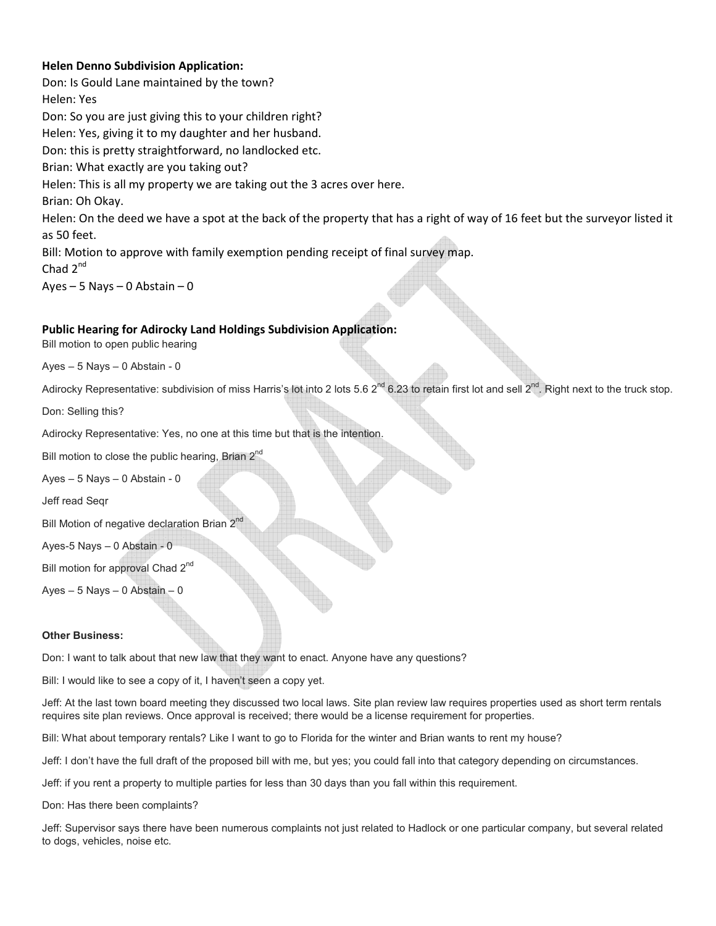# **Helen Denno Subdivision Application:**

Don: Is Gould Lane maintained by the town? Helen: Yes Don: So you are just giving this to your children right? Helen: Yes, giving it to my daughter and her husband. Don: this is pretty straightforward, no landlocked etc. Brian: What exactly are you taking out? Helen: This is all my property we are taking out the 3 acres over here. Brian: Oh Okay. Helen: On the deed we have a spot at the back of the property that has a right of way of 16 feet but the surveyor listed it as 50 feet. Bill: Motion to approve with family exemption pending receipt of final survey map. Chad 2<sup>nd</sup>

Ayes – 5 Nays – 0 Abstain – 0

## **Public Hearing for Adirocky Land Holdings Subdivision Application:**

Bill motion to open public hearing

Ayes – 5 Nays – 0 Abstain - 0

```
Adirocky Representative: subdivision of miss Harris's lot into 2 lots 5.6 2^{nd} 6.23 to retain first lot and sell 2^{nd}. Right next to the truck stop.
```
Don: Selling this?

Adirocky Representative: Yes, no one at this time but that is the intention.

Bill motion to close the public hearing, Brian 2<sup>nd</sup>

Ayes – 5 Nays – 0 Abstain - 0

Jeff read Seqr

Bill Motion of negative declaration Brian 2<sup>nd</sup>

Ayes-5 Nays – 0 Abstain - 0

Bill motion for approval Chad 2<sup>nd</sup>

Ayes – 5 Nays – 0 Abstain – 0

#### **Other Business:**

Don: I want to talk about that new law that they want to enact. Anyone have any questions?

Bill: I would like to see a copy of it, I haven't seen a copy yet.

Jeff: At the last town board meeting they discussed two local laws. Site plan review law requires properties used as short term rentals requires site plan reviews. Once approval is received; there would be a license requirement for properties.

Bill: What about temporary rentals? Like I want to go to Florida for the winter and Brian wants to rent my house?

Jeff: I don't have the full draft of the proposed bill with me, but yes; you could fall into that category depending on circumstances.

Jeff: if you rent a property to multiple parties for less than 30 days than you fall within this requirement.

Don: Has there been complaints?

Jeff: Supervisor says there have been numerous complaints not just related to Hadlock or one particular company, but several related to dogs, vehicles, noise etc.